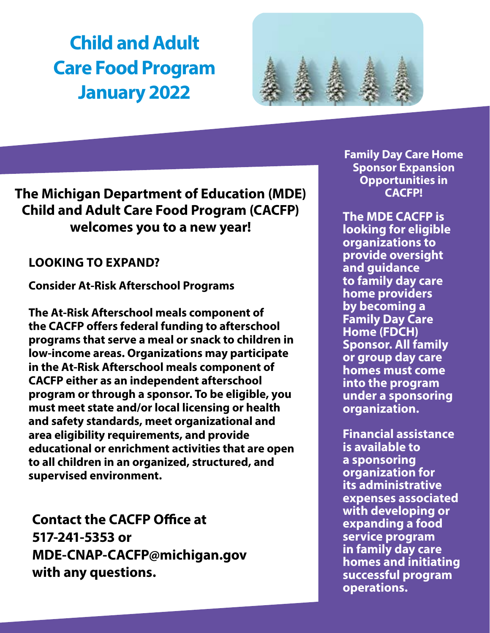# **Child and Adult Care Food Program January 2022**



## **The Michigan Department of Education (MDE) Child and Adult Care Food Program (CACFP) welcomes you to a new year!**

## **LOOKING TO EXPAND?**

**Consider At-Risk Afterschool Programs** 

**The At-Risk Afterschool meals component of the CACFP offers federal funding to afterschool programs that serve a meal or snack to children in low-income areas. Organizations may participate in the At-Risk Afterschool meals component of CACFP either as an independent afterschool program or through a sponsor. To be eligible, you must meet state and/or local licensing or health and safety standards, meet organizational and area eligibility requirements, and provide educational or enrichment activities that are open to all children in an organized, structured, and supervised environment.**

**Contact the CACFP Office at 517-241-5353 or MDE-CNAP-CACFP@michigan.gov with any questions.**

**Family Day Care Home Sponsor Expansion Opportunities in CACFP!**

**The MDE CACFP is looking for eligible organizations to provide oversight and guidance to family day care home providers by becoming a Family Day Care Home (FDCH) Sponsor. All family or group day care homes must come into the program under a sponsoring organization.** 

**Financial assistance is available to a sponsoring organization for its administrative expenses associated with developing or expanding a food service program in family day care homes and initiating successful program operations.**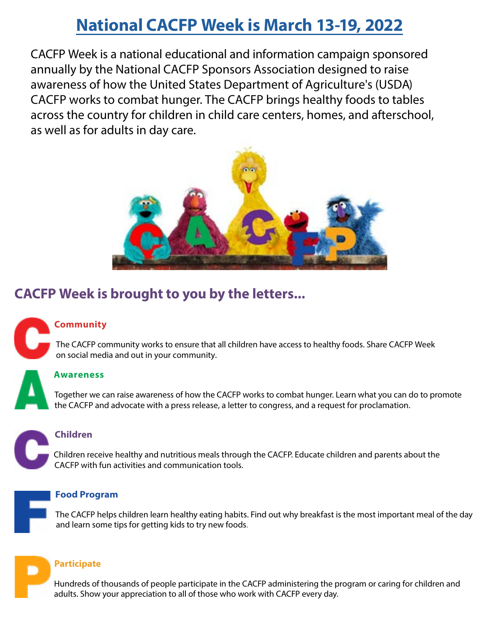## **[National CACFP Week is March](https://www.cacfp.org/national-cacfp-week-main/) 13-19, 2022**

CACFP Week is a national educational and information campaign sponsored annually by the National CACFP Sponsors Association designed to raise awareness of how the United States Department of Agriculture's (USDA) CACFP works to combat hunger. The CACFP brings healthy foods to tables across the country for children in child care centers, homes, and afterschool, as well as for adults in day care.



## **CACFP Week is brought to you by the letters...**

## **Community**

 The CACFP community works to ensure that all children have access to healthy foods. Share CACFP Week on social media and out in your community.

### **Awareness**

 Together we can raise awareness of how the CACFP works to combat hunger. Learn what you can do to promote the CACFP and advocate with a press release, a letter to congress, and a request for proclamation.

### **Children**

Children receive healthy and nutritious meals through the CACFP. Educate children and parents about the CACFP with fun activities and communication tools.

### **Food Program**

 The CACFP helps children learn healthy eating habits. Find out why breakfast is the most important meal of the day and learn some tips for getting kids to try new foods.

## **Participate**

 Hundreds of thousands of people participate in the CACFP administering the program or caring for children and adults. Show your appreciation to all of those who work with CACFP every day.